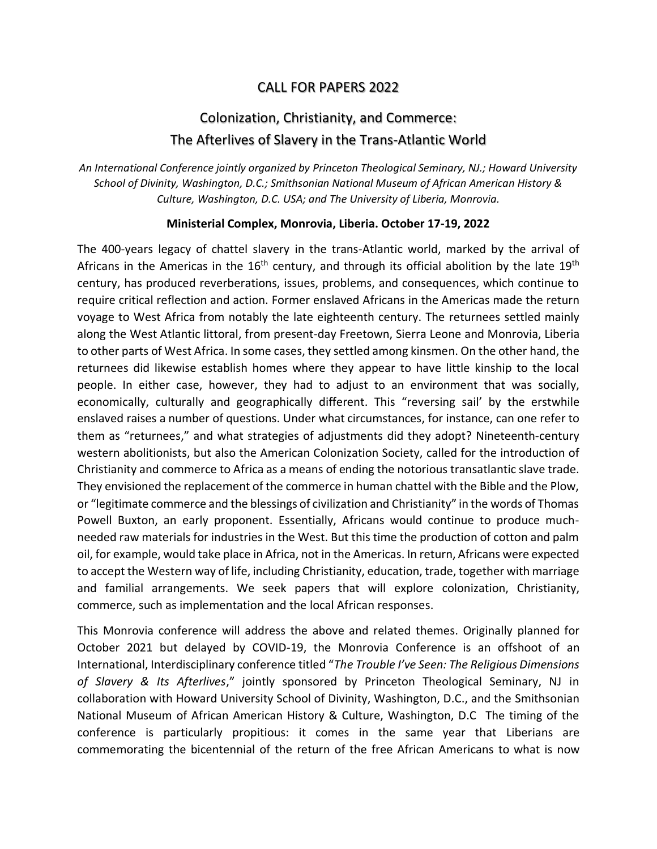## CALL FOR PAPERS 2022

## Colonization, Christianity, and Commerce: The Afterlives of Slavery in the Trans-Atlantic World

*An International Conference jointly organized by Princeton Theological Seminary, NJ.; Howard University School of Divinity, Washington, D.C.; Smithsonian National Museum of African American History & Culture, Washington, D.C. USA; and The University of Liberia, Monrovia.*

## **Ministerial Complex, Monrovia, Liberia. October 17-19, 2022**

The 400-years legacy of chattel slavery in the trans-Atlantic world, marked by the arrival of Africans in the Americas in the  $16<sup>th</sup>$  century, and through its official abolition by the late  $19<sup>th</sup>$ century, has produced reverberations, issues, problems, and consequences, which continue to require critical reflection and action. Former enslaved Africans in the Americas made the return voyage to West Africa from notably the late eighteenth century. The returnees settled mainly along the West Atlantic littoral, from present-day Freetown, Sierra Leone and Monrovia, Liberia to other parts of West Africa. In some cases, they settled among kinsmen. On the other hand, the returnees did likewise establish homes where they appear to have little kinship to the local people. In either case, however, they had to adjust to an environment that was socially, economically, culturally and geographically different. This "reversing sail' by the erstwhile enslaved raises a number of questions. Under what circumstances, for instance, can one refer to them as "returnees," and what strategies of adjustments did they adopt? Nineteenth-century western abolitionists, but also the American Colonization Society, called for the introduction of Christianity and commerce to Africa as a means of ending the notorious transatlantic slave trade. They envisioned the replacement of the commerce in human chattel with the Bible and the Plow, or "legitimate commerce and the blessings of civilization and Christianity" in the words of Thomas Powell Buxton, an early proponent. Essentially, Africans would continue to produce muchneeded raw materials for industries in the West. But this time the production of cotton and palm oil, for example, would take place in Africa, not in the Americas. In return, Africans were expected to accept the Western way of life, including Christianity, education, trade, together with marriage and familial arrangements. We seek papers that will explore colonization, Christianity, commerce, such as implementation and the local African responses.

This Monrovia conference will address the above and related themes. Originally planned for October 2021 but delayed by COVID-19, the Monrovia Conference is an offshoot of an International, Interdisciplinary conference titled "*The Trouble I've Seen: The Religious Dimensions of Slavery & Its Afterlives*," jointly sponsored by Princeton Theological Seminary, NJ in collaboration with Howard University School of Divinity, Washington, D.C., and the Smithsonian National Museum of African American History & Culture, Washington, D.C The timing of the conference is particularly propitious: it comes in the same year that Liberians are commemorating the bicentennial of the return of the free African Americans to what is now